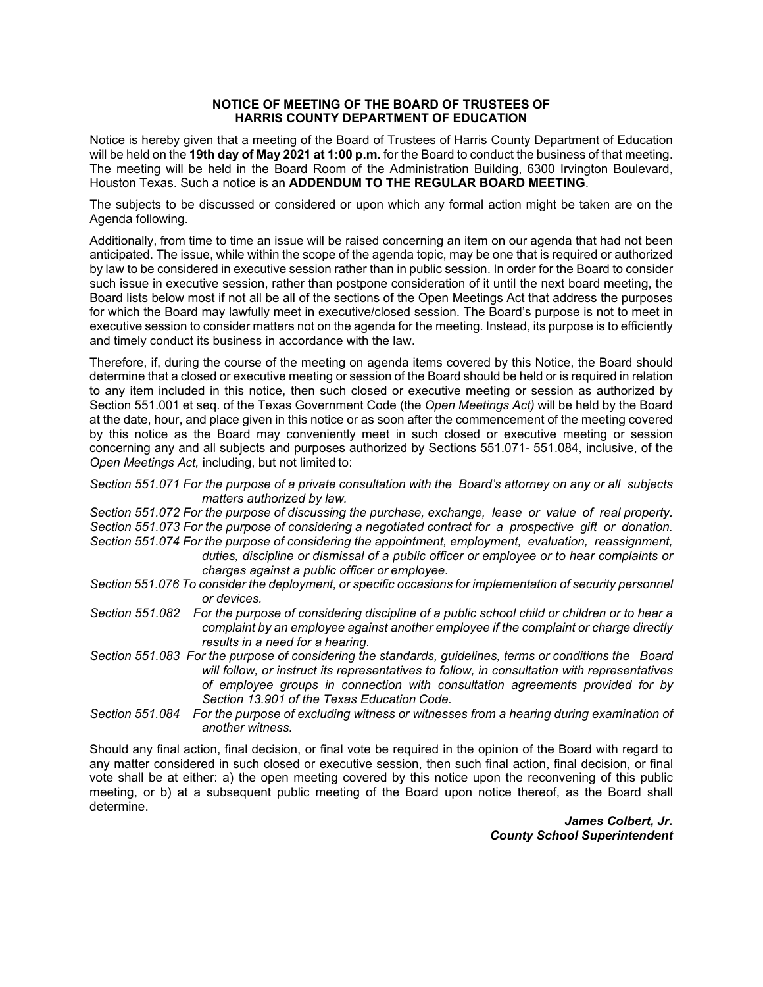## **NOTICE OF MEETING OF THE BOARD OF TRUSTEES OF HARRIS COUNTY DEPARTMENT OF EDUCATION**

Notice is hereby given that a meeting of the Board of Trustees of Harris County Department of Education will be held on the **19th day of May 2021 at 1:00 p.m.** for the Board to conduct the business of that meeting. The meeting will be held in the Board Room of the Administration Building, 6300 Irvington Boulevard, Houston Texas. Such a notice is an **ADDENDUM TO THE REGULAR BOARD MEETING**.

The subjects to be discussed or considered or upon which any formal action might be taken are on the Agenda following.

Additionally, from time to time an issue will be raised concerning an item on our agenda that had not been anticipated. The issue, while within the scope of the agenda topic, may be one that is required or authorized by law to be considered in executive session rather than in public session. In order for the Board to consider such issue in executive session, rather than postpone consideration of it until the next board meeting, the Board lists below most if not all be all of the sections of the Open Meetings Act that address the purposes for which the Board may lawfully meet in executive/closed session. The Board's purpose is not to meet in executive session to consider matters not on the agenda for the meeting. Instead, its purpose is to efficiently and timely conduct its business in accordance with the law.

Therefore, if, during the course of the meeting on agenda items covered by this Notice, the Board should determine that a closed or executive meeting or session of the Board should be held or is required in relation to any item included in this notice, then such closed or executive meeting or session as authorized by Section 551.001 et seq. of the Texas Government Code (the *Open Meetings Act)* will be held by the Board at the date, hour, and place given in this notice or as soon after the commencement of the meeting covered by this notice as the Board may conveniently meet in such closed or executive meeting or session concerning any and all subjects and purposes authorized by Sections 551.071- 551.084, inclusive, of the *Open Meetings Act,* including, but not limited to:

 *matters authorized by law. Section 551.071 For the purpose of a private consultation with the Board's attorney on any or all subjects* 

*Section 551.072 For the purpose of discussing the purchase, exchange, lease or value of real property. Section 551.073 For the purpose of considering a negotiated contract for a prospective gift or donation. Section 551.074 For the purpose of considering the appointment, employment, evaluation, reassignment,* 

- *duties, discipline or dismissal of a public officer or employee or to hear complaints or charges against a public officer or employee.*
- *Section 551.076 To consider the deployment, or specific occasions for implementation of security personnel or devices.*
- *Section 551.082 For the purpose of considering discipline of a public school child or children or to hear a complaint by an employee against another employee if the complaint or charge directly results in a need for a hearing.*
- *Section 551.083 For the purpose of considering the standards, guidelines, terms or conditions the Board will follow, or instruct its representatives to follow, in consultation with representatives of employee groups in connection with consultation agreements provided for by Section 13.901 of the Texas Education Code.*
- *Section 551.084 For the purpose of excluding witness or witnesses from a hearing during examination of another witness.*

Should any final action, final decision, or final vote be required in the opinion of the Board with regard to any matter considered in such closed or executive session, then such final action, final decision, or final vote shall be at either: a) the open meeting covered by this notice upon the reconvening of this public meeting, or b) at a subsequent public meeting of the Board upon notice thereof, as the Board shall determine.

> *James Colbert, Jr. County School Superintendent*